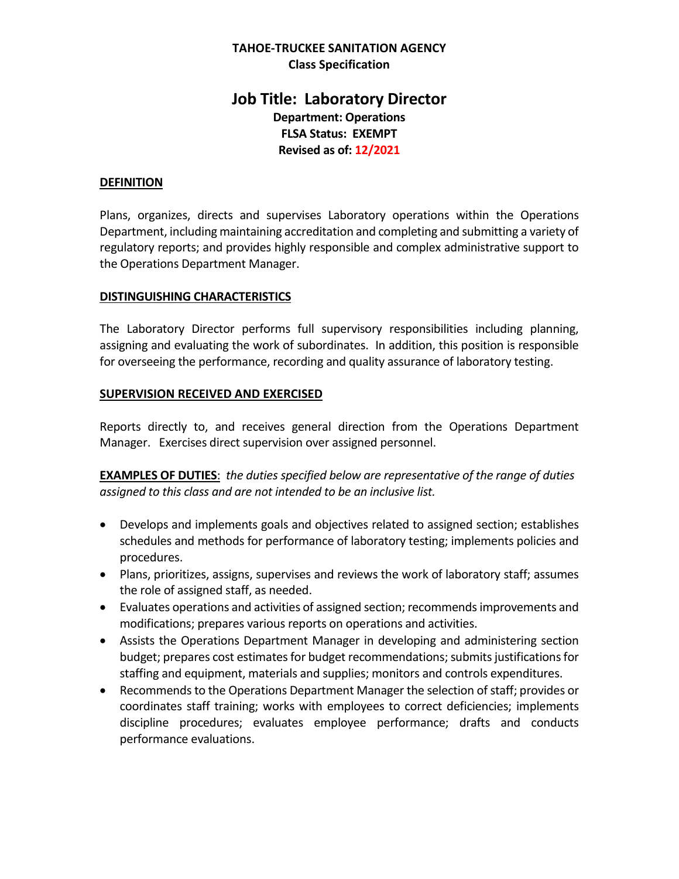#### **TAHOE-TRUCKEE SANITATION AGENCY Class Specification**

# **Job Title: Laboratory Director Department: Operations FLSA Status: EXEMPT Revised as of: 12/2021**

#### **DEFINITION**

Plans, organizes, directs and supervises Laboratory operations within the Operations Department, including maintaining accreditation and completing and submitting a variety of regulatory reports; and provides highly responsible and complex administrative support to the Operations Department Manager.

#### **DISTINGUISHING CHARACTERISTICS**

The Laboratory Director performs full supervisory responsibilities including planning, assigning and evaluating the work of subordinates. In addition, this position is responsible for overseeing the performance, recording and quality assurance of laboratory testing.

#### **SUPERVISION RECEIVED AND EXERCISED**

Reports directly to, and receives general direction from the Operations Department Manager. Exercises direct supervision over assigned personnel.

**EXAMPLES OF DUTIES**: *the duties specified below are representative of the range of duties assigned to this class and are not intended to be an inclusive list.* 

- Develops and implements goals and objectives related to assigned section; establishes schedules and methods for performance of laboratory testing; implements policies and procedures.
- Plans, prioritizes, assigns, supervises and reviews the work of laboratory staff; assumes the role of assigned staff, as needed.
- Evaluates operations and activities of assigned section; recommends improvements and modifications; prepares various reports on operations and activities.
- Assists the Operations Department Manager in developing and administering section budget; prepares cost estimates for budget recommendations; submits justifications for staffing and equipment, materials and supplies; monitors and controls expenditures.
- Recommends to the Operations Department Manager the selection of staff; provides or coordinates staff training; works with employees to correct deficiencies; implements discipline procedures; evaluates employee performance; drafts and conducts performance evaluations.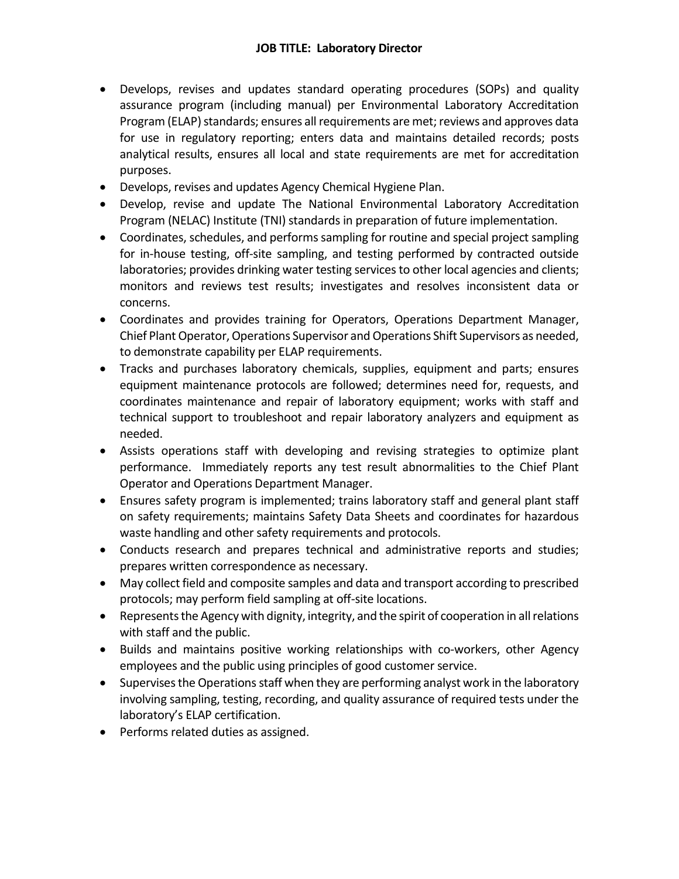- Develops, revises and updates standard operating procedures (SOPs) and quality assurance program (including manual) per Environmental Laboratory Accreditation Program (ELAP) standards; ensures all requirements are met; reviews and approves data for use in regulatory reporting; enters data and maintains detailed records; posts analytical results, ensures all local and state requirements are met for accreditation purposes.
- Develops, revises and updates Agency Chemical Hygiene Plan.
- Develop, revise and update The National Environmental Laboratory Accreditation Program (NELAC) Institute (TNI) standards in preparation of future implementation.
- Coordinates, schedules, and performs sampling for routine and special project sampling for in-house testing, off-site sampling, and testing performed by contracted outside laboratories; provides drinking water testing services to other local agencies and clients; monitors and reviews test results; investigates and resolves inconsistent data or concerns.
- Coordinates and provides training for Operators, Operations Department Manager, Chief Plant Operator, Operations Supervisor and Operations Shift Supervisors as needed, to demonstrate capability per ELAP requirements.
- Tracks and purchases laboratory chemicals, supplies, equipment and parts; ensures equipment maintenance protocols are followed; determines need for, requests, and coordinates maintenance and repair of laboratory equipment; works with staff and technical support to troubleshoot and repair laboratory analyzers and equipment as needed.
- Assists operations staff with developing and revising strategies to optimize plant performance. Immediately reports any test result abnormalities to the Chief Plant Operator and Operations Department Manager.
- Ensures safety program is implemented; trains laboratory staff and general plant staff on safety requirements; maintains Safety Data Sheets and coordinates for hazardous waste handling and other safety requirements and protocols.
- Conducts research and prepares technical and administrative reports and studies; prepares written correspondence as necessary.
- May collect field and composite samples and data and transport according to prescribed protocols; may perform field sampling at off-site locations.
- Represents the Agency with dignity, integrity, and the spirit of cooperation in all relations with staff and the public.
- Builds and maintains positive working relationships with co-workers, other Agency employees and the public using principles of good customer service.
- Supervises the Operations staff when they are performing analyst work in the laboratory involving sampling, testing, recording, and quality assurance of required tests under the laboratory's ELAP certification.
- Performs related duties as assigned.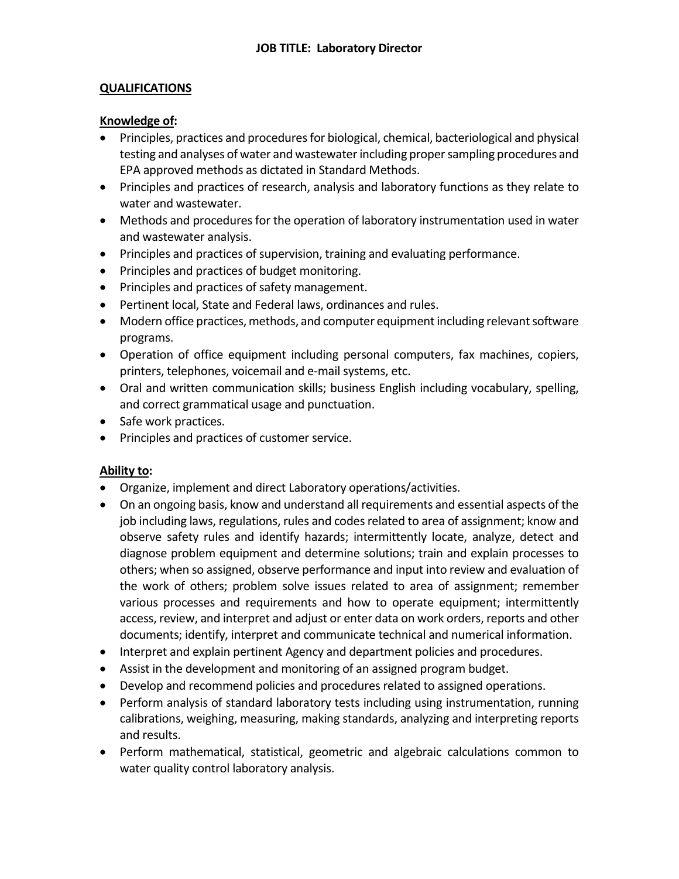# **QUALIFICATIONS**

#### **Knowledge of:**

- Principles, practices and procedures for biological, chemical, bacteriological and physical testing and analyses of water and wastewater including proper sampling procedures and EPA approved methods as dictated in Standard Methods.
- Principles and practices of research, analysis and laboratory functions as they relate to water and wastewater.
- Methods and procedures for the operation of laboratory instrumentation used in water and wastewater analysis.
- Principles and practices of supervision, training and evaluating performance.
- Principles and practices of budget monitoring.
- Principles and practices of safety management.
- Pertinent local, State and Federal laws, ordinances and rules.
- Modern office practices, methods, and computer equipment including relevant software programs.
- Operation of office equipment including personal computers, fax machines, copiers, printers, telephones, voicemail and e-mail systems, etc.
- Oral and written communication skills; business English including vocabulary, spelling, and correct grammatical usage and punctuation.
- Safe work practices.
- Principles and practices of customer service.

# **Ability to:**

- Organize, implement and direct Laboratory operations/activities.
- On an ongoing basis, know and understand all requirements and essential aspects of the job including laws, regulations, rules and codes related to area of assignment; know and observe safety rules and identify hazards; intermittently locate, analyze, detect and diagnose problem equipment and determine solutions; train and explain processes to others; when so assigned, observe performance and input into review and evaluation of the work of others; problem solve issues related to area of assignment; remember various processes and requirements and how to operate equipment; intermittently access, review, and interpret and adjust or enter data on work orders, reports and other documents; identify, interpret and communicate technical and numerical information.
- Interpret and explain pertinent Agency and department policies and procedures.
- Assist in the development and monitoring of an assigned program budget.
- Develop and recommend policies and procedures related to assigned operations.
- Perform analysis of standard laboratory tests including using instrumentation, running calibrations, weighing, measuring, making standards, analyzing and interpreting reports and results.
- Perform mathematical, statistical, geometric and algebraic calculations common to water quality control laboratory analysis.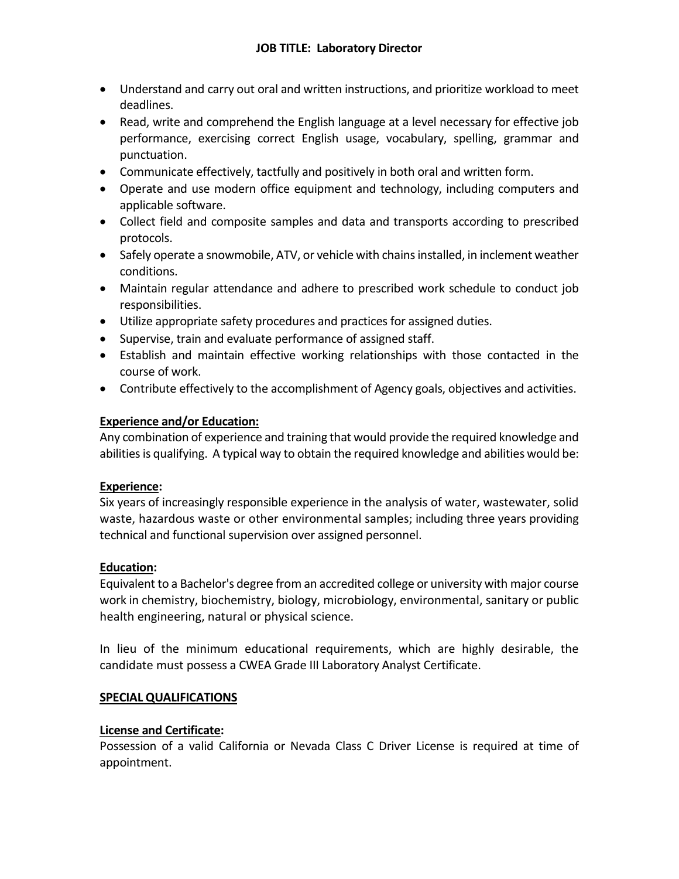- Understand and carry out oral and written instructions, and prioritize workload to meet deadlines.
- Read, write and comprehend the English language at a level necessary for effective job performance, exercising correct English usage, vocabulary, spelling, grammar and punctuation.
- Communicate effectively, tactfully and positively in both oral and written form.
- Operate and use modern office equipment and technology, including computers and applicable software.
- Collect field and composite samples and data and transports according to prescribed protocols.
- Safely operate a snowmobile, ATV, or vehicle with chains installed, in inclement weather conditions.
- Maintain regular attendance and adhere to prescribed work schedule to conduct job responsibilities.
- Utilize appropriate safety procedures and practices for assigned duties.
- Supervise, train and evaluate performance of assigned staff.
- Establish and maintain effective working relationships with those contacted in the course of work.
- Contribute effectively to the accomplishment of Agency goals, objectives and activities.

# **Experience and/or Education:**

Any combination of experience and training that would provide the required knowledge and abilities is qualifying. A typical way to obtain the required knowledge and abilities would be:

# **Experience:**

Six years of increasingly responsible experience in the analysis of water, wastewater, solid waste, hazardous waste or other environmental samples; including three years providing technical and functional supervision over assigned personnel.

# **Education:**

Equivalent to a Bachelor's degree from an accredited college or university with major course work in chemistry, biochemistry, biology, microbiology, environmental, sanitary or public health engineering, natural or physical science.

In lieu of the minimum educational requirements, which are highly desirable, the candidate must possess a CWEA Grade III Laboratory Analyst Certificate.

# **SPECIAL QUALIFICATIONS**

# **License and Certificate:**

Possession of a valid California or Nevada Class C Driver License is required at time of appointment.